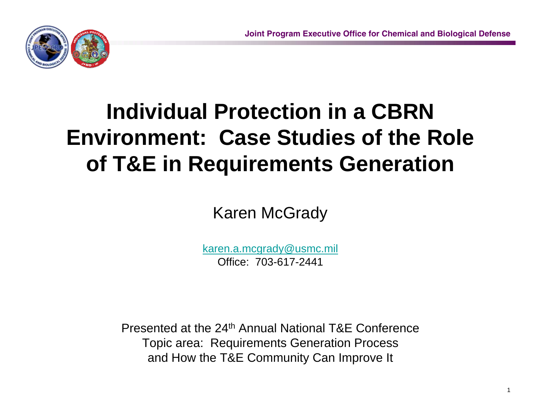1



# **Individual Protection in a CBRN Environment: Case Studies of the Role of T&E in Requirements Generation**

Karen McGrady

[karen.a.mcgrady@usmc.mil](mailto:karen.a.mcgrady@usmc.mil) Office: 703-617-2441

Presented at the 24th Annual National T&E ConferenceTopic area: Requirements Generation Process and How the T&E Community Can Improve It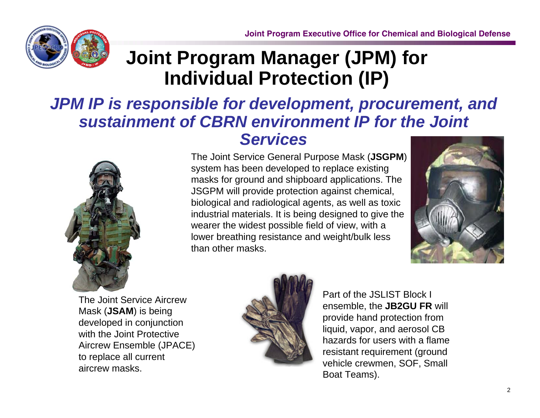

### **Joint Program Manager (JPM) for Individual Protection (IP)**

#### *JPM IP is responsible for development, procurement, and sustainment of CBRN environment IP for the Joint Services*



The Joint Service General Purpose Mask (**JSGPM**) system has been developed to replace existing masks for ground and shipboard applications. The JSGPM will provide protection against chemical, biological and radiological agents, as well as toxic industrial materials. It is being designed to give the wearer the widest possible field of view, with a lower breathing resistance and weight/bulk less than other masks.



The Joint Service Aircrew Mask (**JSAM**) is being developed in conjunction with the Joint Protective Aircrew Ensemble (JPACE) to replace all current aircrew masks.



Part of the JSLIST Block I ensemble, the **JB2GU FR** will provide hand protection from liquid, vapor, and aerosol CB hazards for users with a flame resistant requirement (ground vehicle crewmen, SOF, Small Boat Teams).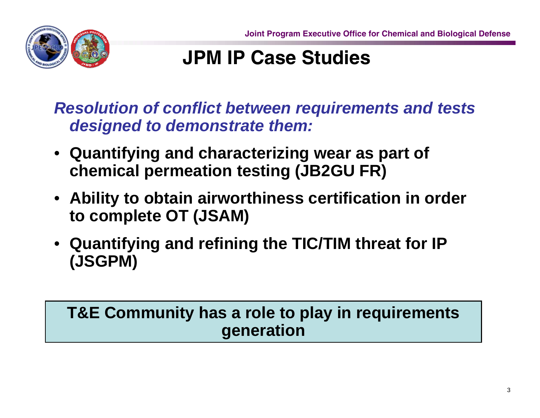

# **JPM IP Case Studies**

*Resolution of conflict between requirements and tests designed to demonstrate them:*

- **Quantifying and characterizing wear as part of chemical permeation testing (JB2GU FR)**
- **Ability to obtain airworthiness certification in order to complete OT (JSAM)**
- **Quantifying and refining the TIC/TIM threat for IP (JSGPM)**

#### **T&E Community has a role to play in requirements generation**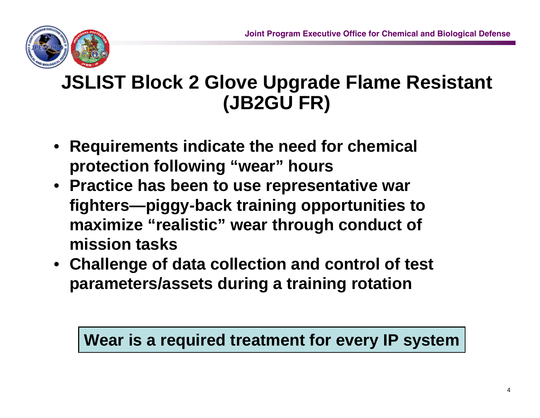

### **JSLIST Block 2 Glove Upgrade Flame Resistant (JB2GU FR)**

- **Requirements indicate the need for chemical protection following "wear" hours**
- **Practice has been to use representative war fighters—piggy-back training opportunities to maximize "realistic" wear through conduct of mission tasks**
- **Challenge of data collection and control of test parameters/assets during a training rotation**

#### **Wear is a required treatment for every IP system**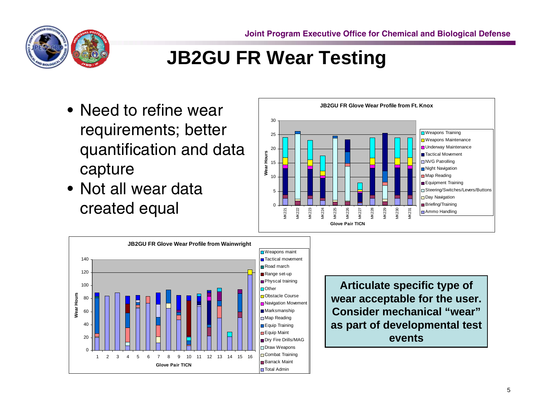

# **JB2GU FR Wear Testing**

- Need to refine wear requirements; better quantification and data capture
- Not all wear data created equal



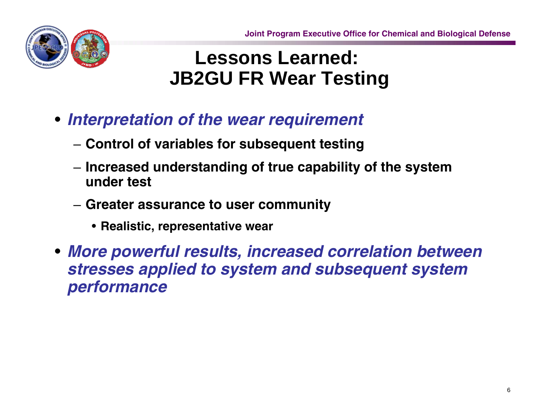

#### **Lessons Learned: JB2GU FR Wear Testing**

- *Interpretation of the wear requirement*
	- **Control of variables for subsequent testing**
	- **Increased understanding of true capability of the system under test**
	- **Greater assurance to user community**
		- **Realistic, representative wear**
- *More powerful results, increased correlation between stresses applied to system and subsequent system performance*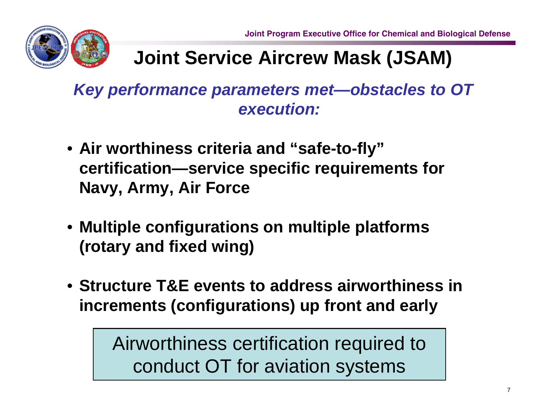

# **Joint Service Aircrew Mask (JSAM)**

*Key performance parameters met—obstacles to OT execution:*

- **Air worthiness criteria and "safe-to-fly" certification—service specific requirements for Navy, Army, Air Force**
- **Multiple configurations on multiple platforms (rotary and fixed wing)**
- **Structure T&E events to address airworthiness in increments (configurations) up front and early**

Airworthiness certification required to conduct OT for aviation systems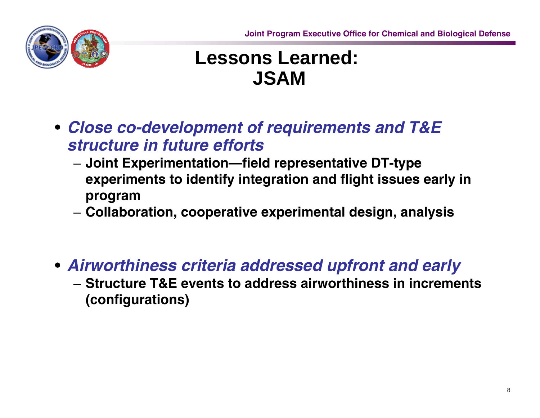

#### **Lessons Learned: JSAM**

- *Close co-development of requirements and T&E structure in future efforts*
	- **Joint Experimentation—field representative DT-type experiments to identify integration and flight issues early in program**
	- **Collaboration, cooperative experimental design, analysis**
- *Airworthiness criteria addressed upfront and early*
	- **Structure T&E events to address airworthiness in increments (configurations)**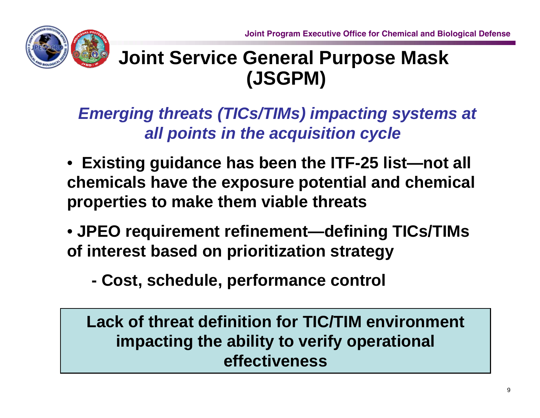

### **Joint Service General Purpose Mask (JSGPM)**

*Emerging threats (TICs/TIMs) impacting systems at all points in the acquisition cycle*

- **Existing guidance has been the ITF-25 list—not all chemicals have the exposure potential and chemical properties to make them viable threats**
- **JPEO requirement refinement—defining TICs/TIMs of interest based on prioritization strategy**
	- **- Cost, schedule, performance control**

**Lack of threat definition for TIC/TIM environment impacting the ability to verify operational effectiveness**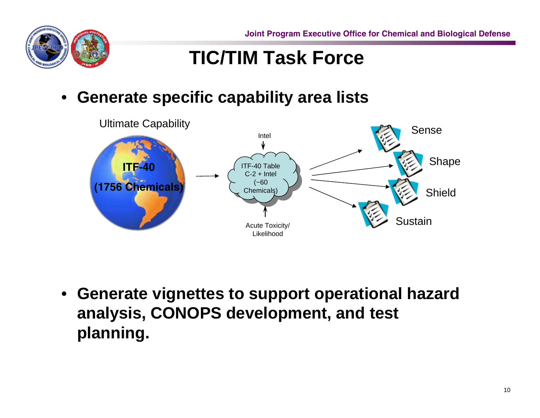**Joint Program Executive Office for Chemical and Biological Defense**



#### **TIC/TIM Task Force**

•**Generate specific capability area lists**



• **Generate vignettes to support operational hazard analysis, CONOPS development, and test planning.**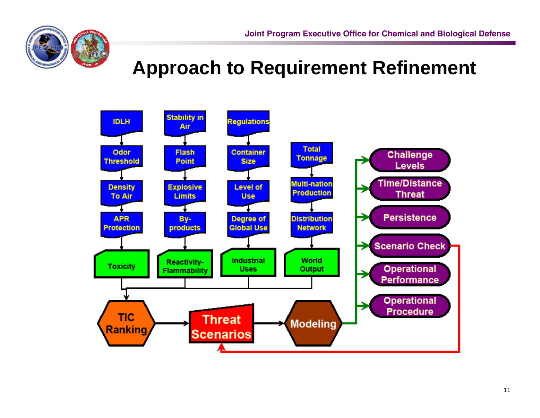

# **Approach to Requirement Refinement**

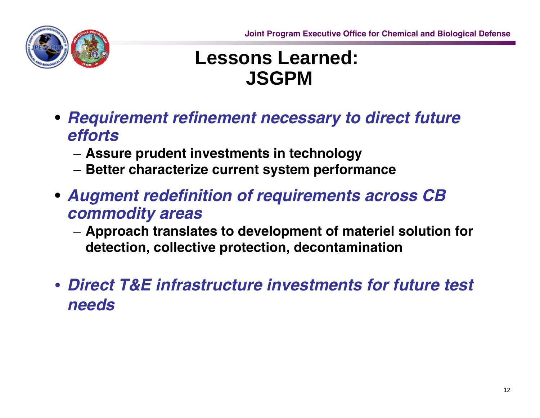

#### **Lessons Learned: JSGPM**

- *Requirement refinement necessary to direct future efforts*
	- **Assure prudent investments in technology**
	- **Better characterize current system performance**
- *Augment redefinition of requirements across CB commodity areas*
	- **Approach translates to development of materiel solution for detection, collective protection, decontamination**
- *Direct T&E infrastructure investments for future test needs*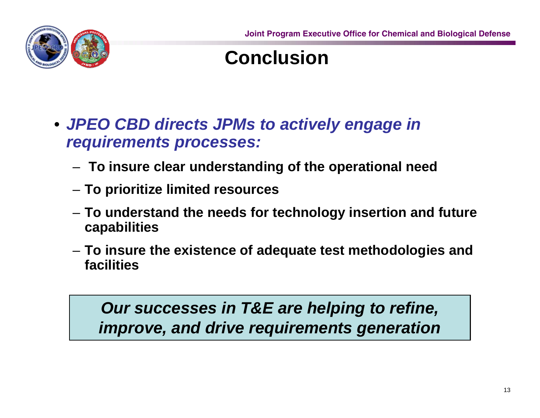

#### **Conclusion**

- *JPEO CBD directs JPMs to actively engage in requirements processes:*
	- –**To insure clear understanding of the operational need**
	- –**To prioritize limited resources**
	- – **To understand the needs for technology insertion and future capabilities**
	- – **To insure the existence of adequate test methodologies and facilities**

#### *Our successes in T&E are helping to refine, improve, and drive requirements generation*